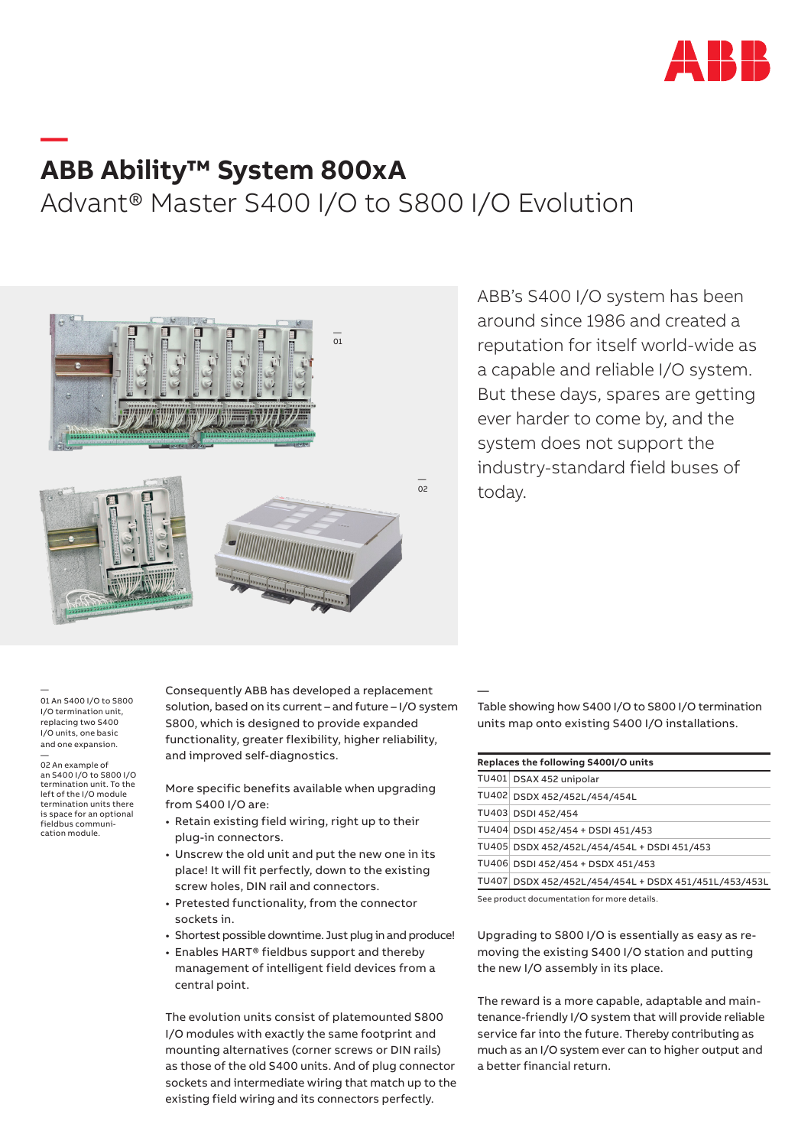

## **ABB Ability™ System 800xA**

## Advant® Master S400 I/O to S800 I/O Evolution



ABB's S400 I/O system has been around since 1986 and created a reputation for itself world-wide as a capable and reliable I/O system. But these days, spares are getting ever harder to come by, and the system does not support the industry-standard field buses of today.

— 01 An S400 I/O to S800 I/O termination unit, replacing two S400 I/O units, one basic and one expansion.

**—** 

— 02 An example of an S400 I/O to S800 I/O termination unit. To the left of the I/O module termination units there is space for an optional fieldbus communication module.

Consequently ABB has developed a replacement solution, based on its current – and future – I/O system S800, which is designed to provide expanded functionality, greater flexibility, higher reliability, and improved self-diagnostics.

More specific benefits available when upgrading from S400 I/O are:

- Retain existing field wiring, right up to their plug-in connectors.
- Unscrew the old unit and put the new one in its place! It will fit perfectly, down to the existing screw holes, DIN rail and connectors.
- Pretested functionality, from the connector sockets in.
- Shortest possible downtime. Just plug in and produce!
- Enables HART® fieldbus support and thereby management of intelligent field devices from a central point.

The evolution units consist of platemounted S800 I/O modules with exactly the same footprint and mounting alternatives (corner screws or DIN rails) as those of the old S400 units. And of plug connector sockets and intermediate wiring that match up to the existing field wiring and its connectors perfectly.

Table showing how S400 I/O to S800 I/O termination units map onto existing S400 I/O installations.

| Replaces the following S400I/O units |                                                       |
|--------------------------------------|-------------------------------------------------------|
|                                      | TU401 DSAX 452 unipolar                               |
|                                      | TU402 DSDX 452/452L/454/454L                          |
|                                      | TU403 DSDI 452/454                                    |
|                                      | TU404 DSDI 452/454 + DSDI 451/453                     |
|                                      | TU405 DSDX 452/452L/454/454L + DSDI 451/453           |
|                                      | TU406 DSDI 452/454 + DSDX 451/453                     |
|                                      | TU407 DSDX 452/452L/454/454L + DSDX 451/451L/453/453L |
|                                      |                                                       |

See product documentation for more details.

—

Upgrading to S800 I/O is essentially as easy as removing the existing S400 I/O station and putting the new I/O assembly in its place.

The reward is a more capable, adaptable and maintenance-friendly I/O system that will provide reliable service far into the future. Thereby contributing as much as an I/O system ever can to higher output and a better financial return.